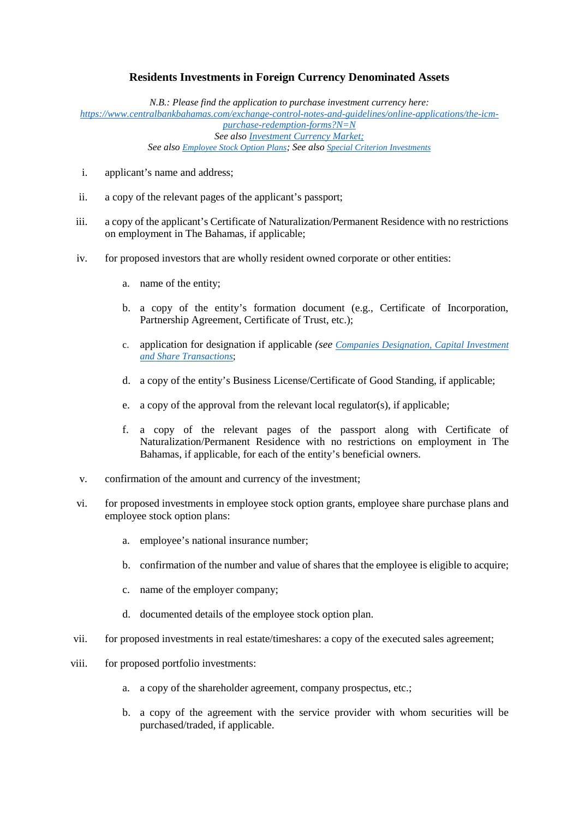## **Residents Investments in Foreign Currency Denominated Assets**

*N.B.: Please find the application to purchase investment currency here: https://www.centralbankbahamas.com/exchange-control-notes-and-guidelines/online-applications/the-icm purchase-redemption-forms?N=N See also Investment Currency Market; See also Employee Stock Option Plans; See also Special Criterion Investments*

- i. applicant's name and address;
- ii. a copy of the relevant pages of the applicant's passport;
- iii. a copy of the applicant's Certificate of Naturalization/Permanent Residence with no restrictions on employment in The Bahamas, if applicable;
- iv. for proposed investors that are wholly resident owned corporate or other entities:
	- a. name of the entity;
	- b. a copy of the entity's formation document (e.g., Certificate of Incorporation, Partnership Agreement, Certificate of Trust, etc.);
	- c. application for designation if applicable *(see Companies Designation, Capital Investment and Share Transactions*;
	- d. a copy of the entity's Business License/Certificate of Good Standing, if applicable;
	- e. a copy of the approval from the relevant local regulator(s), if applicable;
	- f. a copy of the relevant pages of the passport along with Certificate of Naturalization/Permanent Residence with no restrictions on employment in The Bahamas, if applicable, for each of the entity's beneficial owners.
- v. confirmation of the amount and currency of the investment;
- vi. for proposed investments in employee stock option grants, employee share purchase plans and employee stock option plans:
	- a. employee's national insurance number;
	- b. confirmation of the number and value of shares that the employee is eligible to acquire;
	- c. name of the employer company;
	- d. documented details of the employee stock option plan.
- vii. for proposed investments in real estate/timeshares: a copy of the executed sales agreement;
- viii. for proposed portfolio investments:
	- a. a copy of the shareholder agreement, company prospectus, etc.;
	- b. a copy of the agreement with the service provider with whom securities will be purchased/traded, if applicable.